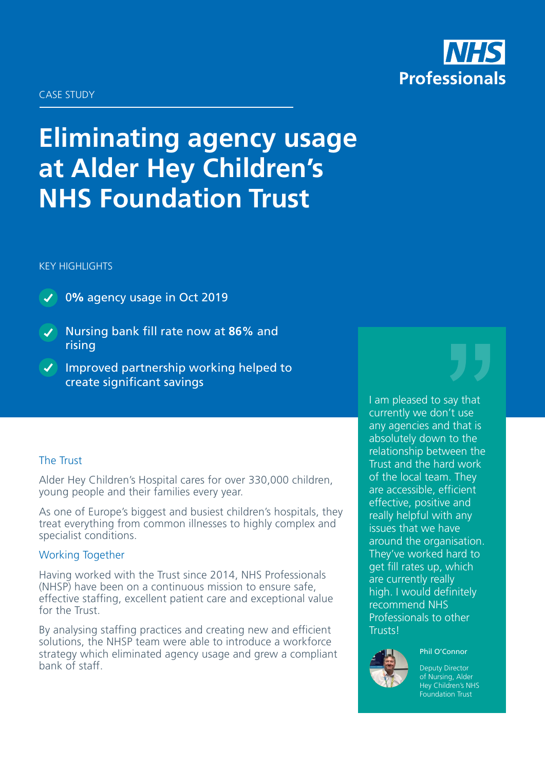

#### CASE STUDY

# **Eliminating agency usage at Alder Hey Children's NHS Foundation Trust**

#### KEY HIGHLIGHTS



0% agency usage in Oct 2019

- Nursing bank fill rate now at **86%** and rising
- $\checkmark$  Improved partnership working helped to create significant savings

### The Trust

Alder Hey Children's Hospital cares for over 330,000 children, young people and their families every year.

As one of Europe's biggest and busiest children's hospitals, they treat everything from common illnesses to highly complex and specialist conditions.

# Working Together

Having worked with the Trust since 2014, NHS Professionals (NHSP) have been on a continuous mission to ensure safe, effective staffing, excellent patient care and exceptional value for the Trust.

By analysing staffing practices and creating new and efficient solutions, the NHSP team were able to introduce a workforce strategy which eliminated agency usage and grew a compliant bank of staff.

I am pleased to say that currently we don't use any agencies and that is absolutely down to the relationship between the Trust and the hard work of the local team. They are accessible, efficient effective, positive and really helpful with any issues that we have around the organisation. They've worked hard to get fill rates up, which are currently really high. I would definitely recommend NHS Professionals to other **Trusts!** 



Deputy Director of Nursing, Alder Hey Children's NHS Foundation Trust

Phil O'Connor